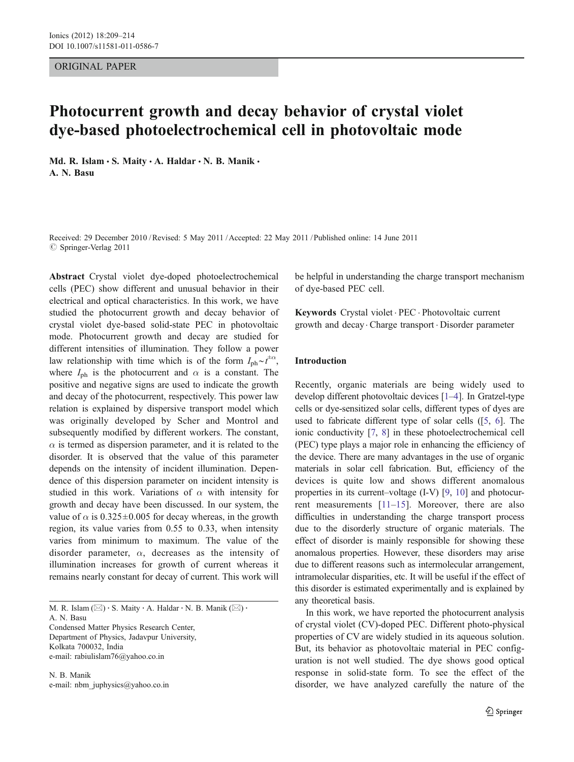#### ORIGINAL PAPER

# Photocurrent growth and decay behavior of crystal violet dye-based photoelectrochemical cell in photovoltaic mode

Md. R. Islam · S. Maity · A. Haldar · N. B. Manik · A. N. Basu

Received: 29 December 2010 /Revised: 5 May 2011 /Accepted: 22 May 2011 / Published online: 14 June 2011  $\oslash$  Springer-Verlag 2011

Abstract Crystal violet dye-doped photoelectrochemical cells (PEC) show different and unusual behavior in their electrical and optical characteristics. In this work, we have studied the photocurrent growth and decay behavior of crystal violet dye-based solid-state PEC in photovoltaic mode. Photocurrent growth and decay are studied for different intensities of illumination. They follow a power law relationship with time which is of the form  $I_{ph}^{\perp} \sim t^{\pm \alpha}$ , where  $I_{\text{ph}}$  is the photocurrent and  $\alpha$  is a constant. The positive and negative signs are used to indicate the growth and decay of the photocurrent, respectively. This power law relation is explained by dispersive transport model which was originally developed by Scher and Montrol and subsequently modified by different workers. The constant,  $\alpha$  is termed as dispersion parameter, and it is related to the disorder. It is observed that the value of this parameter depends on the intensity of incident illumination. Dependence of this dispersion parameter on incident intensity is studied in this work. Variations of  $\alpha$  with intensity for growth and decay have been discussed. In our system, the value of  $\alpha$  is 0.325 $\pm$ 0.005 for decay whereas, in the growth region, its value varies from 0.55 to 0.33, when intensity varies from minimum to maximum. The value of the disorder parameter,  $\alpha$ , decreases as the intensity of illumination increases for growth of current whereas it remains nearly constant for decay of current. This work will

M. R. Islam ( $\boxtimes$ ) · S. Maity · A. Haldar · N. B. Manik ( $\boxtimes$ ) ·

A. N. Basu Condensed Matter Physics Research Center, Department of Physics, Jadavpur University, Kolkata 700032, India

e-mail: rabiulislam76@yahoo.co.in

N. B. Manik e-mail: nbm\_juphysics@yahoo.co.in be helpful in understanding the charge transport mechanism of dye-based PEC cell.

Keywords Crystal violet . PEC . Photovoltaic current growth and decay . Charge transport . Disorder parameter

## Introduction

Recently, organic materials are being widely used to develop different photovoltaic devices [\[1](#page-5-0)–[4\]](#page-5-0). In Gratzel-type cells or dye-sensitized solar cells, different types of dyes are used to fabricate different type of solar cells ([\[5,](#page-5-0) [6\]](#page-5-0). The ionic conductivity [[7,](#page-5-0) [8\]](#page-5-0) in these photoelectrochemical cell (PEC) type plays a major role in enhancing the efficiency of the device. There are many advantages in the use of organic materials in solar cell fabrication. But, efficiency of the devices is quite low and shows different anomalous properties in its current–voltage (I-V) [[9,](#page-5-0) [10](#page-5-0)] and photocurrent measurements [[11](#page-5-0)–[15](#page-5-0)]. Moreover, there are also difficulties in understanding the charge transport process due to the disorderly structure of organic materials. The effect of disorder is mainly responsible for showing these anomalous properties. However, these disorders may arise due to different reasons such as intermolecular arrangement, intramolecular disparities, etc. It will be useful if the effect of this disorder is estimated experimentally and is explained by any theoretical basis.

In this work, we have reported the photocurrent analysis of crystal violet (CV)-doped PEC. Different photo-physical properties of CV are widely studied in its aqueous solution. But, its behavior as photovoltaic material in PEC configuration is not well studied. The dye shows good optical response in solid-state form. To see the effect of the disorder, we have analyzed carefully the nature of the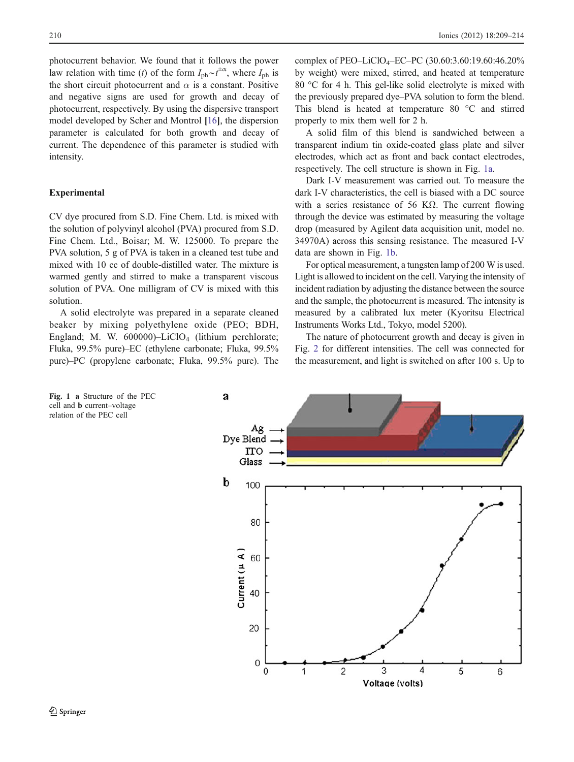photocurrent behavior. We found that it follows the power law relation with time (t) of the form  $I_{ph} \sim t^{\pm \alpha}$ , where  $I_{ph}$  is the short circuit photocurrent and  $\alpha$  is a constant. Positive and negative signs are used for growth and decay of photocurrent, respectively. By using the dispersive transport model developed by Scher and Montrol [[16](#page-5-0)], the dispersion parameter is calculated for both growth and decay of current. The dependence of this parameter is studied with intensity.

# Experimental

CV dye procured from S.D. Fine Chem. Ltd. is mixed with the solution of polyvinyl alcohol (PVA) procured from S.D. Fine Chem. Ltd., Boisar; M. W. 125000. To prepare the PVA solution, 5 g of PVA is taken in a cleaned test tube and mixed with 10 cc of double-distilled water. The mixture is warmed gently and stirred to make a transparent viscous solution of PVA. One milligram of CV is mixed with this solution.

A solid electrolyte was prepared in a separate cleaned beaker by mixing polyethylene oxide (PEO; BDH, England; M. W.  $600000$ -LiClO<sub>4</sub> (lithium perchlorate; Fluka, 99.5% pure)–EC (ethylene carbonate; Fluka, 99.5% pure)–PC (propylene carbonate; Fluka, 99.5% pure). The complex of PEO–LiClO4–EC–PC (30.60:3.60:19.60:46.20% by weight) were mixed, stirred, and heated at temperature 80 °C for 4 h. This gel-like solid electrolyte is mixed with the previously prepared dye–PVA solution to form the blend. This blend is heated at temperature 80 °C and stirred properly to mix them well for 2 h.

A solid film of this blend is sandwiched between a transparent indium tin oxide-coated glass plate and silver electrodes, which act as front and back contact electrodes, respectively. The cell structure is shown in Fig. 1a.

Dark I-V measurement was carried out. To measure the dark I-V characteristics, the cell is biased with a DC source with a series resistance of 56 K $\Omega$ . The current flowing through the device was estimated by measuring the voltage drop (measured by Agilent data acquisition unit, model no. 34970A) across this sensing resistance. The measured I-V data are shown in Fig. 1b.

For optical measurement, a tungsten lamp of 200 W is used. Light is allowed to incident on the cell. Varying the intensity of incident radiation by adjusting the distance between the source and the sample, the photocurrent is measured. The intensity is measured by a calibrated lux meter (Kyoritsu Electrical Instruments Works Ltd., Tokyo, model 5200).

The nature of photocurrent growth and decay is given in Fig. [2](#page-2-0) for different intensities. The cell was connected for the measurement, and light is switched on after 100 s. Up to



Fig. 1 a Structure of the PEC cell and b current–voltage relation of the PEC cell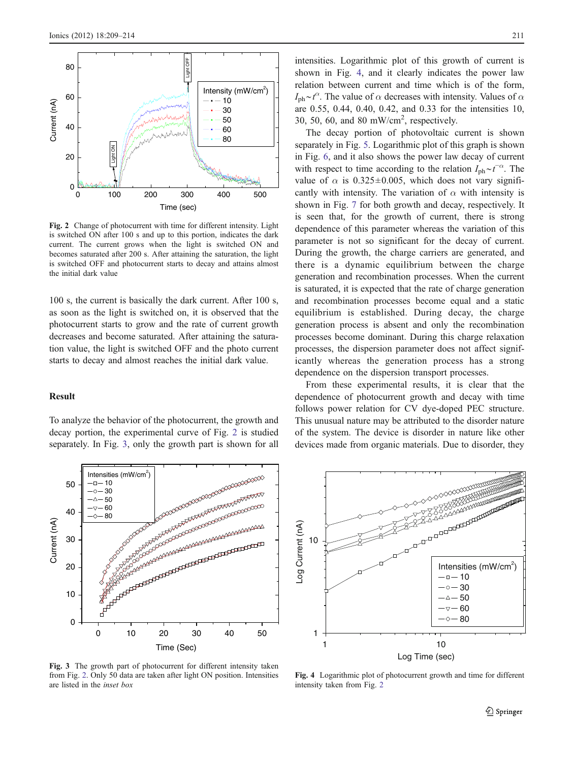<span id="page-2-0"></span>

Fig. 2 Change of photocurrent with time for different intensity. Light is switched ON after 100 s and up to this portion, indicates the dark current. The current grows when the light is switched ON and becomes saturated after 200 s. After attaining the saturation, the light is switched OFF and photocurrent starts to decay and attains almost the initial dark value

100 s, the current is basically the dark current. After 100 s, as soon as the light is switched on, it is observed that the photocurrent starts to grow and the rate of current growth decreases and become saturated. After attaining the saturation value, the light is switched OFF and the photo current starts to decay and almost reaches the initial dark value.

### Result

To analyze the behavior of the photocurrent, the growth and decay portion, the experimental curve of Fig. 2 is studied separately. In Fig. 3, only the growth part is shown for all



Fig. 3 The growth part of photocurrent for different intensity taken from Fig. 2. Only 50 data are taken after light ON position. Intensities are listed in the inset box

intensities. Logarithmic plot of this growth of current is shown in Fig. 4, and it clearly indicates the power law relation between current and time which is of the form,  $I_{\text{ph}} \sim t^{\alpha}$ . The value of  $\alpha$  decreases with intensity. Values of  $\alpha$ are 0.55, 0.44, 0.40, 0.42, and 0.33 for the intensities 10, 30, 50, 60, and 80 mW/cm<sup>2</sup>, respectively.

The decay portion of photovoltaic current is shown separately in Fig. [5](#page-3-0). Logarithmic plot of this graph is shown in Fig. [6,](#page-3-0) and it also shows the power law decay of current with respect to time according to the relation  $I_{\text{ph}} \sim t^{-\alpha}$ . The value of  $\alpha$  is 0.325±0.005, which does not vary significantly with intensity. The variation of  $\alpha$  with intensity is shown in Fig. [7](#page-3-0) for both growth and decay, respectively. It is seen that, for the growth of current, there is strong dependence of this parameter whereas the variation of this parameter is not so significant for the decay of current. During the growth, the charge carriers are generated, and there is a dynamic equilibrium between the charge generation and recombination processes. When the current is saturated, it is expected that the rate of charge generation and recombination processes become equal and a static equilibrium is established. During decay, the charge generation process is absent and only the recombination processes become dominant. During this charge relaxation processes, the dispersion parameter does not affect significantly whereas the generation process has a strong dependence on the dispersion transport processes.

From these experimental results, it is clear that the dependence of photocurrent growth and decay with time follows power relation for CV dye-doped PEC structure. This unusual nature may be attributed to the disorder nature of the system. The device is disorder in nature like other devices made from organic materials. Due to disorder, they



Fig. 4 Logarithmic plot of photocurrent growth and time for different intensity taken from Fig. 2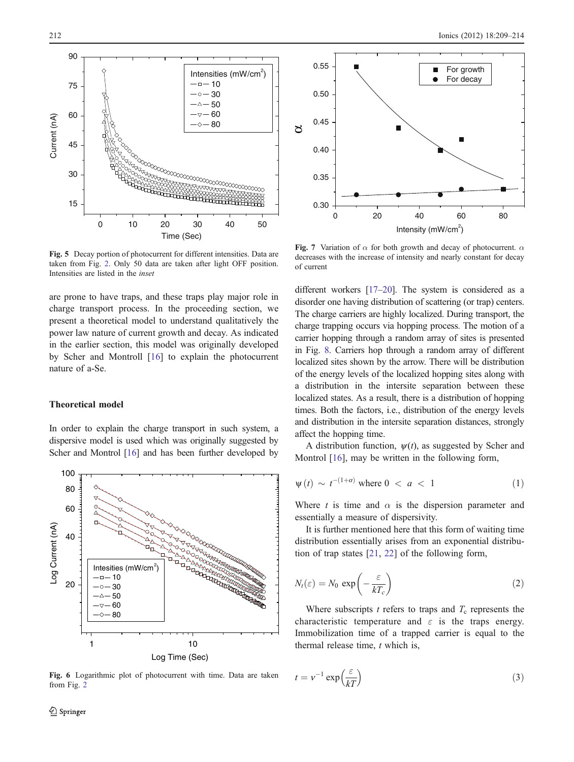<span id="page-3-0"></span>

Fig. 5 Decay portion of photocurrent for different intensities. Data are taken from Fig. [2.](#page-2-0) Only 50 data are taken after light OFF position. Intensities are listed in the inset

are prone to have traps, and these traps play major role in charge transport process. In the proceeding section, we present a theoretical model to understand qualitatively the power law nature of current growth and decay. As indicated in the earlier section, this model was originally developed by Scher and Montroll [\[16](#page-5-0)] to explain the photocurrent nature of a-Se.

#### Theoretical model

In order to explain the charge transport in such system, a dispersive model is used which was originally suggested by Scher and Montrol [[16](#page-5-0)] and has been further developed by



Fig. 6 Logarithmic plot of photocurrent with time. Data are taken from Fig. [2](#page-2-0)



Fig. 7 Variation of  $\alpha$  for both growth and decay of photocurrent.  $\alpha$ decreases with the increase of intensity and nearly constant for decay of current

different workers [[17](#page-5-0)–[20\]](#page-5-0). The system is considered as a disorder one having distribution of scattering (or trap) centers. The charge carriers are highly localized. During transport, the charge trapping occurs via hopping process. The motion of a carrier hopping through a random array of sites is presented in Fig. [8.](#page-4-0) Carriers hop through a random array of different localized sites shown by the arrow. There will be distribution of the energy levels of the localized hopping sites along with a distribution in the intersite separation between these localized states. As a result, there is a distribution of hopping times. Both the factors, i.e., distribution of the energy levels and distribution in the intersite separation distances, strongly affect the hopping time.

A distribution function,  $\psi(t)$ , as suggested by Scher and Montrol [\[16](#page-5-0)], may be written in the following form,

$$
\psi(t) \sim t^{-(1+\alpha)} \text{ where } 0 < a < 1 \tag{1}
$$

Where t is time and  $\alpha$  is the dispersion parameter and essentially a measure of dispersivity.

It is further mentioned here that this form of waiting time distribution essentially arises from an exponential distribution of trap states [\[21](#page-5-0), [22\]](#page-5-0) of the following form,

$$
N_t(\varepsilon) = N_0 \, \exp\left(-\frac{\varepsilon}{kT_c}\right) \tag{2}
$$

Where subscripts  $t$  refers to traps and  $T_c$  represents the characteristic temperature and  $\varepsilon$  is the traps energy. Immobilization time of a trapped carrier is equal to the thermal release time,  $t$  which is,

$$
t = v^{-1} \exp\left(\frac{\varepsilon}{kT}\right) \tag{3}
$$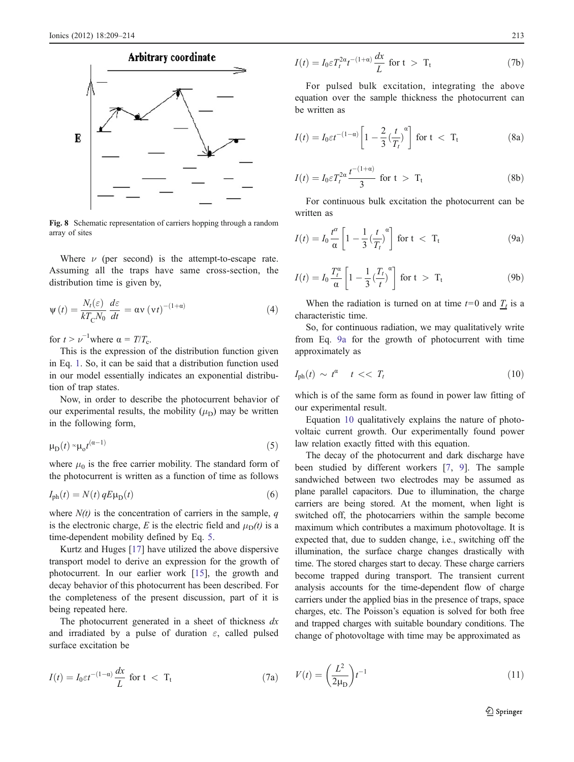<span id="page-4-0"></span>

Fig. 8 Schematic representation of carriers hopping through a random array of sites

Where  $\nu$  (per second) is the attempt-to-escape rate. Assuming all the traps have same cross-section, the distribution time is given by,

$$
\psi(t) = \frac{N_t(\varepsilon)}{kT_{\rm C}N_0} \frac{d\varepsilon}{dt} = \alpha v \left(vt\right)^{-(1+\alpha)} \tag{4}
$$

for  $t > \nu^{-1}$  where  $\alpha = T/T_c$ .

This is the expression of the distribution function given in Eq. [1](#page-3-0). So, it can be said that a distribution function used in our model essentially indicates an exponential distribution of trap states.

Now, in order to describe the photocurrent behavior of our experimental results, the mobility  $(\mu_D)$  may be written in the following form,

$$
\mu_{\rm D}(t) \sim \mu_0 t^{(\alpha - 1)} \tag{5}
$$

where  $\mu_0$  is the free carrier mobility. The standard form of the photocurrent is written as a function of time as follows

$$
I_{\rm ph}(t) = N(t) q E \mu_{\rm D}(t) \tag{6}
$$

where  $N(t)$  is the concentration of carriers in the sample, q is the electronic charge, E is the electric field and  $\mu_D(t)$  is a time-dependent mobility defined by Eq. 5.

Kurtz and Huges [[17\]](#page-5-0) have utilized the above dispersive transport model to derive an expression for the growth of photocurrent. In our earlier work [\[15](#page-5-0)], the growth and decay behavior of this photocurrent has been described. For the completeness of the present discussion, part of it is being repeated here.

The photocurrent generated in a sheet of thickness  $dx$ and irradiated by a pulse of duration  $\varepsilon$ , called pulsed surface excitation be

$$
I(t) = I_0 \varepsilon t^{-(1-\alpha)} \frac{dx}{L} \text{ for } t < T_t
$$
 (7a)

$$
I(t) = I_0 \varepsilon T_t^{2\alpha} t^{-(1+\alpha)} \frac{dx}{L} \text{ for } t > T_t
$$
 (7b)

For pulsed bulk excitation, integrating the above equation over the sample thickness the photocurrent can be written as

$$
I(t) = I_0 \varepsilon t^{-(1-a)} \left[ 1 - \frac{2}{3} \left( \frac{t}{T_t} \right)^{\alpha} \right] \text{ for } t < T_t
$$
 (8a)

$$
I(t) = I_0 \varepsilon T_t^{2\alpha} \frac{t^{-(1+\alpha)}}{3} \text{ for } t > T_t
$$
 (8b)

For continuous bulk excitation the photocurrent can be written as

$$
I(t) = I_0 \frac{t^{\alpha}}{\alpha} \left[ 1 - \frac{1}{3} \left( \frac{t}{T_t} \right)^{\alpha} \right] \text{ for } t < T_t
$$
 (9a)

$$
I(t) = I_0 \frac{T_t^{\alpha}}{\alpha} \left[ 1 - \frac{1}{3} \left( \frac{T_t}{t} \right)^{\alpha} \right] \text{ for } t > T_t
$$
 (9b)

When the radiation is turned on at time  $t=0$  and  $\frac{T_t}{T}$  is a characteristic time.

So, for continuous radiation, we may qualitatively write from Eq. 9a for the growth of photocurrent with time approximately as

$$
I_{\rm ph}(t) \sim t^a \quad t \ll T_t \tag{10}
$$

which is of the same form as found in power law fitting of our experimental result.

Equation 10 qualitatively explains the nature of photovoltaic current growth. Our experimentally found power law relation exactly fitted with this equation.

The decay of the photocurrent and dark discharge have been studied by different workers [[7,](#page-5-0) [9\]](#page-5-0). The sample sandwiched between two electrodes may be assumed as plane parallel capacitors. Due to illumination, the charge carriers are being stored. At the moment, when light is switched off, the photocarriers within the sample become maximum which contributes a maximum photovoltage. It is expected that, due to sudden change, i.e., switching off the illumination, the surface charge changes drastically with time. The stored charges start to decay. These charge carriers become trapped during transport. The transient current analysis accounts for the time-dependent flow of charge carriers under the applied bias in the presence of traps, space charges, etc. The Poisson's equation is solved for both free and trapped charges with suitable boundary conditions. The change of photovoltage with time may be approximated as

(11) 
$$
V(t) = \left(\frac{L^2}{2\mu_D}\right)t^{-1}
$$